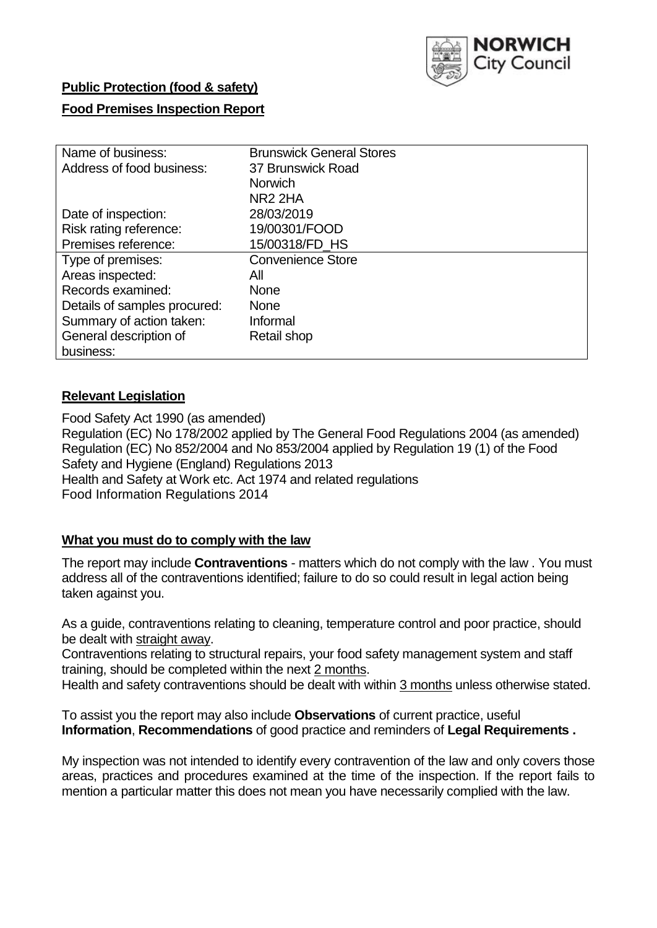

# **Public Protection (food & safety)**

## **Food Premises Inspection Report**

| Name of business:            | <b>Brunswick General Stores</b> |
|------------------------------|---------------------------------|
| Address of food business:    | 37 Brunswick Road               |
|                              | <b>Norwich</b>                  |
|                              | NR <sub>2</sub> 2HA             |
| Date of inspection:          | 28/03/2019                      |
| Risk rating reference:       | 19/00301/FOOD                   |
| Premises reference:          | 15/00318/FD HS                  |
| Type of premises:            | <b>Convenience Store</b>        |
| Areas inspected:             | All                             |
| Records examined:            | <b>None</b>                     |
| Details of samples procured: | <b>None</b>                     |
| Summary of action taken:     | Informal                        |
| General description of       | Retail shop                     |
| business:                    |                                 |

## **Relevant Legislation**

Food Safety Act 1990 (as amended) Regulation (EC) No 178/2002 applied by The General Food Regulations 2004 (as amended) Regulation (EC) No 852/2004 and No 853/2004 applied by Regulation 19 (1) of the Food Safety and Hygiene (England) Regulations 2013 Health and Safety at Work etc. Act 1974 and related regulations Food Information Regulations 2014

## **What you must do to comply with the law**

The report may include **Contraventions** - matters which do not comply with the law . You must address all of the contraventions identified; failure to do so could result in legal action being taken against you.

As a guide, contraventions relating to cleaning, temperature control and poor practice, should be dealt with straight away.

Contraventions relating to structural repairs, your food safety management system and staff training, should be completed within the next 2 months.

Health and safety contraventions should be dealt with within 3 months unless otherwise stated.

To assist you the report may also include **Observations** of current practice, useful **Information**, **Recommendations** of good practice and reminders of **Legal Requirements .**

My inspection was not intended to identify every contravention of the law and only covers those areas, practices and procedures examined at the time of the inspection. If the report fails to mention a particular matter this does not mean you have necessarily complied with the law.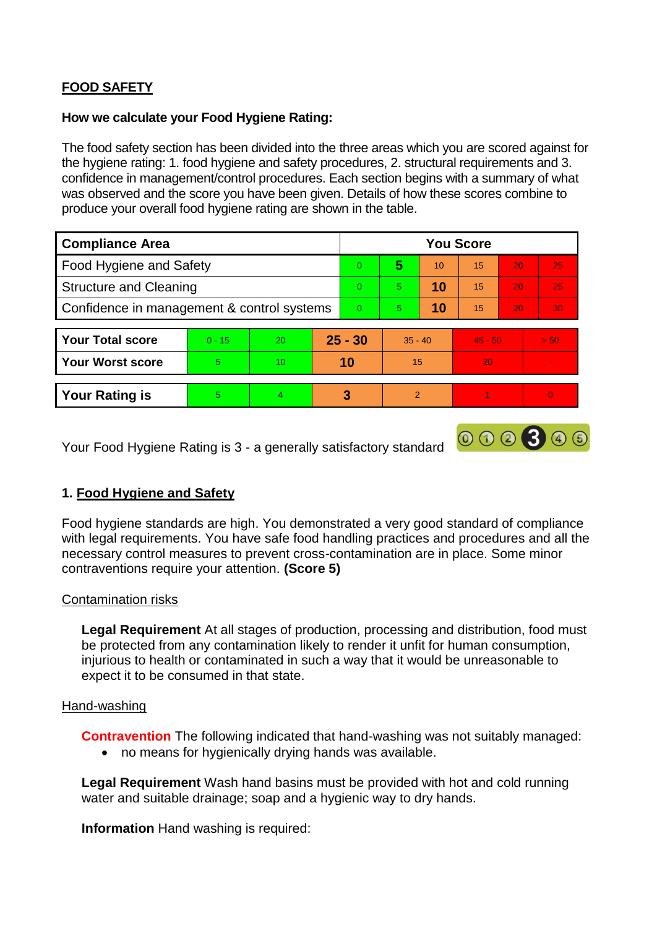# **FOOD SAFETY**

#### **How we calculate your Food Hygiene Rating:**

The food safety section has been divided into the three areas which you are scored against for the hygiene rating: 1. food hygiene and safety procedures, 2. structural requirements and 3. confidence in management/control procedures. Each section begins with a summary of what was observed and the score you have been given. Details of how these scores combine to produce your overall food hygiene rating are shown in the table.

| <b>Compliance Area</b>                     |          |    |           | <b>You Score</b> |                |    |           |    |      |  |  |
|--------------------------------------------|----------|----|-----------|------------------|----------------|----|-----------|----|------|--|--|
| Food Hygiene and Safety                    |          |    |           | $\Omega$         | 5              | 10 | 15        | 20 | 25   |  |  |
| <b>Structure and Cleaning</b>              |          |    | $\Omega$  | 5                | 10             | 15 | 20        | 25 |      |  |  |
| Confidence in management & control systems |          |    | $\Omega$  | 5                | 10             | 15 | 20        | 30 |      |  |  |
|                                            |          |    |           |                  |                |    |           |    |      |  |  |
| <b>Your Total score</b>                    | $0 - 15$ | 20 | $25 - 30$ |                  | $35 - 40$      |    | $45 - 50$ |    | > 50 |  |  |
| <b>Your Worst score</b>                    | 5        | 10 | 10        |                  | 15             |    | 20        |    |      |  |  |
|                                            |          |    |           |                  |                |    |           |    |      |  |  |
| <b>Your Rating is</b>                      | 5        | 4  |           | 3                | $\overline{2}$ |    |           |    |      |  |  |

Your Food Hygiene Rating is 3 - a generally satisfactory standard

## **1. Food Hygiene and Safety**

Food hygiene standards are high. You demonstrated a very good standard of compliance with legal requirements. You have safe food handling practices and procedures and all the necessary control measures to prevent cross-contamination are in place. Some minor contraventions require your attention. **(Score 5)**

000300

## Contamination risks

**Legal Requirement** At all stages of production, processing and distribution, food must be protected from any contamination likely to render it unfit for human consumption, injurious to health or contaminated in such a way that it would be unreasonable to expect it to be consumed in that state.

#### Hand-washing

**Contravention** The following indicated that hand-washing was not suitably managed:

no means for hygienically drying hands was available.

**Legal Requirement** Wash hand basins must be provided with hot and cold running water and suitable drainage; soap and a hygienic way to dry hands.

**Information** Hand washing is required: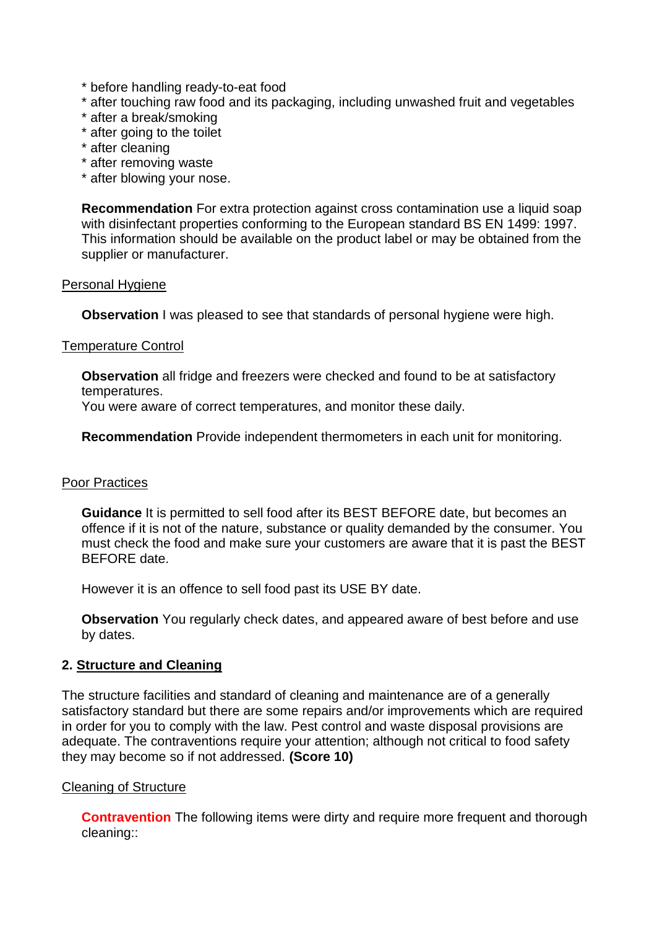- \* before handling ready-to-eat food
- \* after touching raw food and its packaging, including unwashed fruit and vegetables
- \* after a break/smoking
- \* after going to the toilet
- \* after cleaning
- \* after removing waste
- \* after blowing your nose.

**Recommendation** For extra protection against cross contamination use a liquid soap with disinfectant properties conforming to the European standard BS EN 1499: 1997. This information should be available on the product label or may be obtained from the supplier or manufacturer.

## Personal Hygiene

**Observation** I was pleased to see that standards of personal hygiene were high.

## Temperature Control

**Observation** all fridge and freezers were checked and found to be at satisfactory temperatures.

You were aware of correct temperatures, and monitor these daily.

**Recommendation** Provide independent thermometers in each unit for monitoring.

## Poor Practices

**Guidance** It is permitted to sell food after its BEST BEFORE date, but becomes an offence if it is not of the nature, substance or quality demanded by the consumer. You must check the food and make sure your customers are aware that it is past the BEST BEFORE date.

However it is an offence to sell food past its USE BY date.

**Observation** You regularly check dates, and appeared aware of best before and use by dates.

## **2. Structure and Cleaning**

The structure facilities and standard of cleaning and maintenance are of a generally satisfactory standard but there are some repairs and/or improvements which are required in order for you to comply with the law. Pest control and waste disposal provisions are adequate. The contraventions require your attention; although not critical to food safety they may become so if not addressed. **(Score 10)**

## Cleaning of Structure

**Contravention** The following items were dirty and require more frequent and thorough cleaning::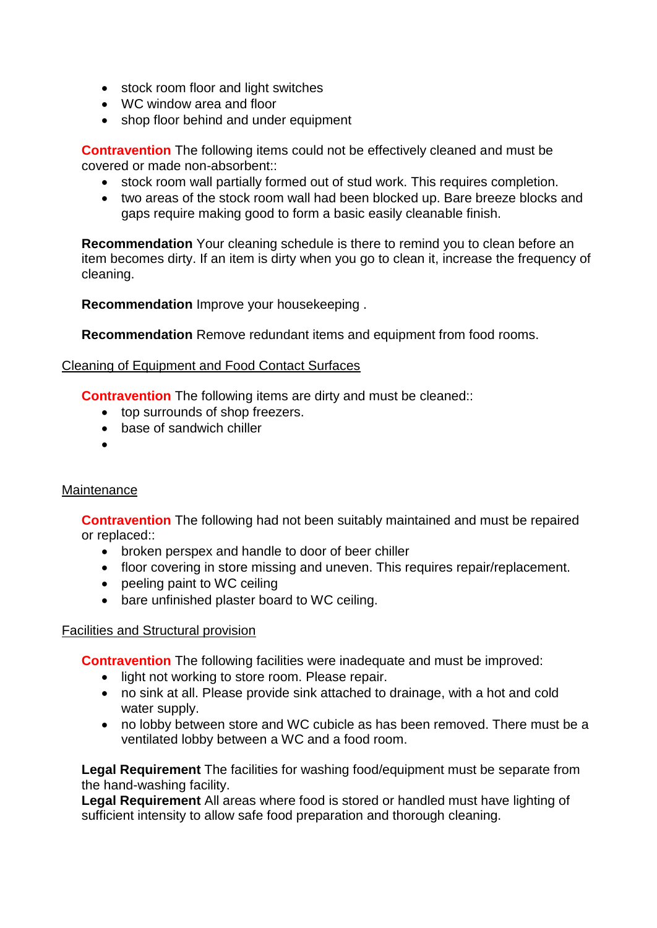- stock room floor and light switches
- WC window area and floor
- shop floor behind and under equipment

**Contravention** The following items could not be effectively cleaned and must be covered or made non-absorbent::

- stock room wall partially formed out of stud work. This requires completion.
- two areas of the stock room wall had been blocked up. Bare breeze blocks and gaps require making good to form a basic easily cleanable finish.

**Recommendation** Your cleaning schedule is there to remind you to clean before an item becomes dirty. If an item is dirty when you go to clean it, increase the frequency of cleaning.

**Recommendation** Improve your housekeeping .

**Recommendation** Remove redundant items and equipment from food rooms.

## Cleaning of Equipment and Food Contact Surfaces

**Contravention** The following items are dirty and must be cleaned::

- top surrounds of shop freezers.
- base of sandwich chiller
- $\bullet$

## **Maintenance**

**Contravention** The following had not been suitably maintained and must be repaired or replaced::

- broken perspex and handle to door of beer chiller
- floor covering in store missing and uneven. This requires repair/replacement.
- peeling paint to WC ceiling
- bare unfinished plaster board to WC ceiling.

## Facilities and Structural provision

**Contravention** The following facilities were inadequate and must be improved:

- light not working to store room. Please repair.
- no sink at all. Please provide sink attached to drainage, with a hot and cold water supply.
- no lobby between store and WC cubicle as has been removed. There must be a ventilated lobby between a WC and a food room.

**Legal Requirement** The facilities for washing food/equipment must be separate from the hand-washing facility.

**Legal Requirement** All areas where food is stored or handled must have lighting of sufficient intensity to allow safe food preparation and thorough cleaning.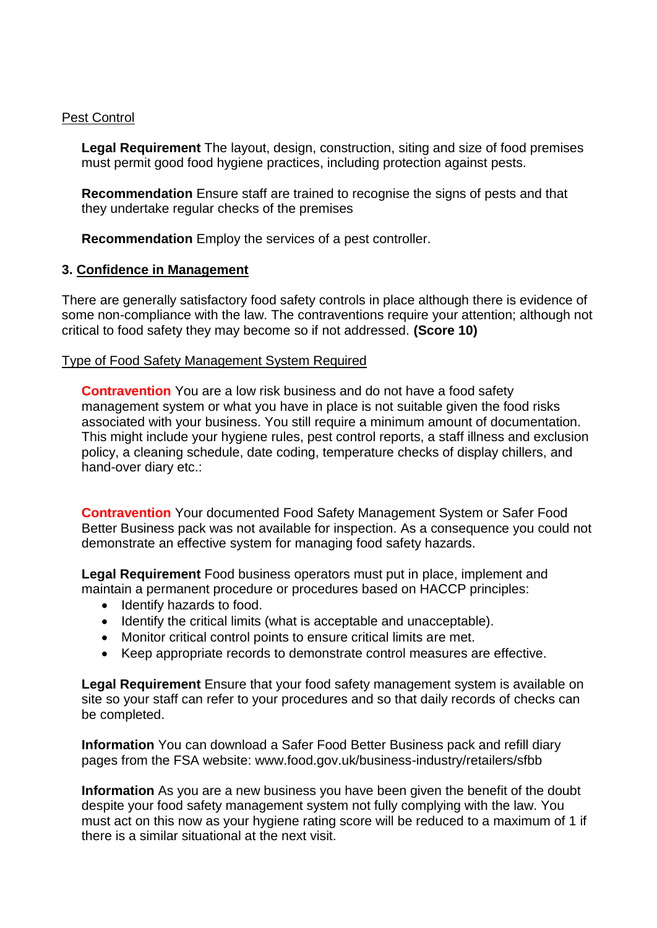#### Pest Control

**Legal Requirement** The layout, design, construction, siting and size of food premises must permit good food hygiene practices, including protection against pests.

**Recommendation** Ensure staff are trained to recognise the signs of pests and that they undertake regular checks of the premises

**Recommendation** Employ the services of a pest controller.

## **3. Confidence in Management**

There are generally satisfactory food safety controls in place although there is evidence of some non-compliance with the law. The contraventions require your attention; although not critical to food safety they may become so if not addressed. **(Score 10)**

## Type of Food Safety Management System Required

**Contravention** You are a low risk business and do not have a food safety management system or what you have in place is not suitable given the food risks associated with your business. You still require a minimum amount of documentation. This might include your hygiene rules, pest control reports, a staff illness and exclusion policy, a cleaning schedule, date coding, temperature checks of display chillers, and hand-over diary etc.:

**Contravention** Your documented Food Safety Management System or Safer Food Better Business pack was not available for inspection. As a consequence you could not demonstrate an effective system for managing food safety hazards.

**Legal Requirement** Food business operators must put in place, implement and maintain a permanent procedure or procedures based on HACCP principles:

- Identify hazards to food.
- Identify the critical limits (what is acceptable and unacceptable).
- Monitor critical control points to ensure critical limits are met.
- Keep appropriate records to demonstrate control measures are effective.

**Legal Requirement** Ensure that your food safety management system is available on site so your staff can refer to your procedures and so that daily records of checks can be completed.

**Information** You can download a Safer Food Better Business pack and refill diary pages from the FSA website: www.food.gov.uk/business-industry/retailers/sfbb

**Information** As you are a new business you have been given the benefit of the doubt despite your food safety management system not fully complying with the law. You must act on this now as your hygiene rating score will be reduced to a maximum of 1 if there is a similar situational at the next visit.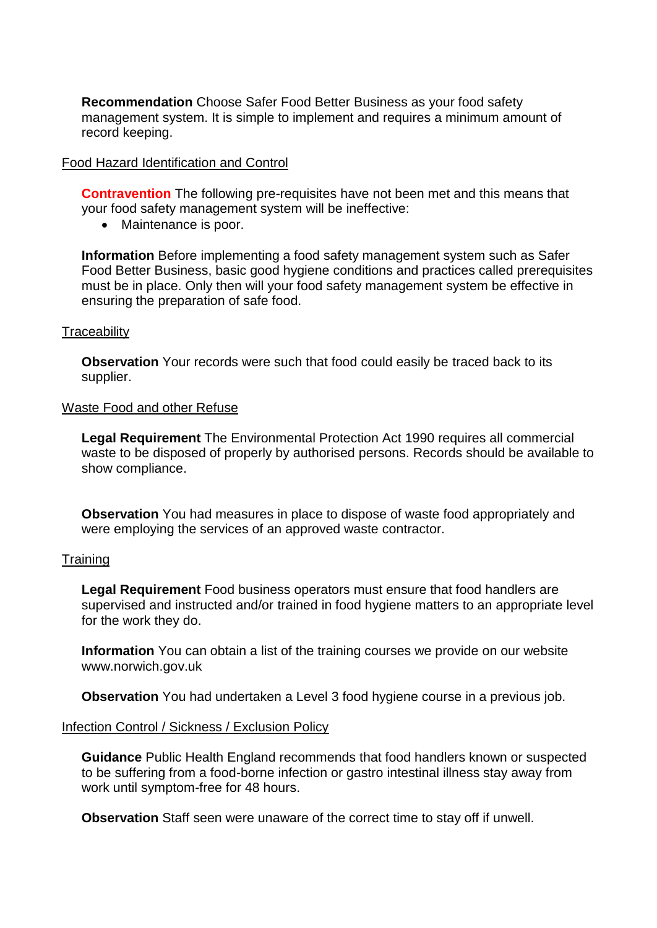**Recommendation** Choose Safer Food Better Business as your food safety management system. It is simple to implement and requires a minimum amount of record keeping.

#### Food Hazard Identification and Control

**Contravention** The following pre-requisites have not been met and this means that your food safety management system will be ineffective:

• Maintenance is poor.

**Information** Before implementing a food safety management system such as Safer Food Better Business, basic good hygiene conditions and practices called prerequisites must be in place. Only then will your food safety management system be effective in ensuring the preparation of safe food.

#### **Traceability**

**Observation** Your records were such that food could easily be traced back to its supplier.

#### Waste Food and other Refuse

**Legal Requirement** The Environmental Protection Act 1990 requires all commercial waste to be disposed of properly by authorised persons. Records should be available to show compliance.

**Observation** You had measures in place to dispose of waste food appropriately and were employing the services of an approved waste contractor.

#### **Training**

**Legal Requirement** Food business operators must ensure that food handlers are supervised and instructed and/or trained in food hygiene matters to an appropriate level for the work they do.

**Information** You can obtain a list of the training courses we provide on our website www.norwich.gov.uk

**Observation** You had undertaken a Level 3 food hygiene course in a previous job.

#### Infection Control / Sickness / Exclusion Policy

**Guidance** Public Health England recommends that food handlers known or suspected to be suffering from a food-borne infection or gastro intestinal illness stay away from work until symptom-free for 48 hours.

**Observation** Staff seen were unaware of the correct time to stay off if unwell.